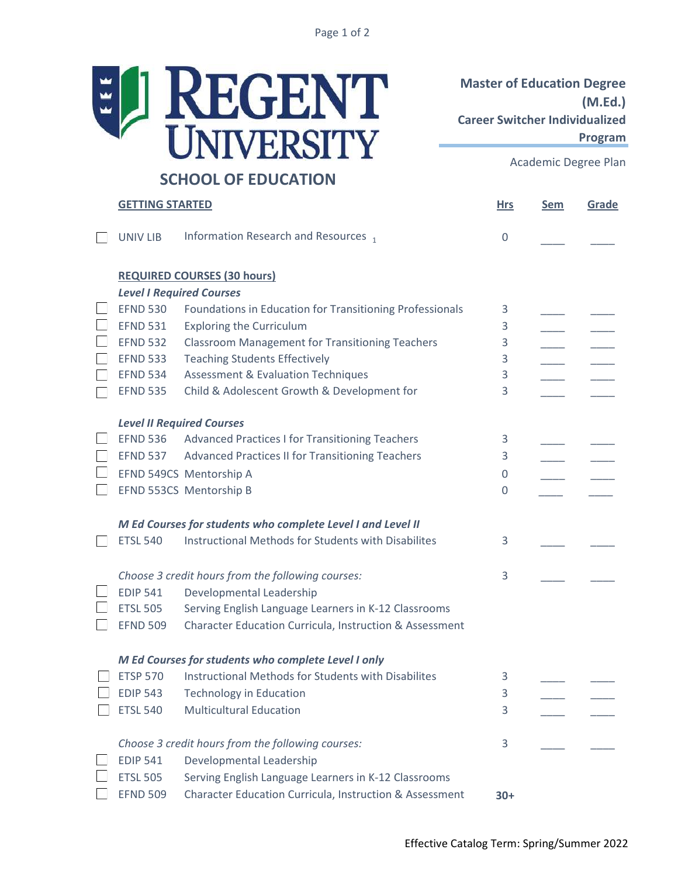Page 1 of 2



Master of Education Degree (M.Ed.) Career Switcher Individualized Program

Academic Degree Plan

| <b>GETTING STARTED</b>          |                                                             |                | <b>Sem</b> | Grade |
|---------------------------------|-------------------------------------------------------------|----------------|------------|-------|
| <b>UNIV LIB</b>                 | Information Research and Resources 1                        | $\overline{0}$ |            |       |
|                                 | <b>REQUIRED COURSES (30 hours)</b>                          |                |            |       |
| <b>Level I Required Courses</b> |                                                             |                |            |       |
| <b>EFND 530</b>                 | Foundations in Education for Transitioning Professionals    | 3              |            |       |
| <b>EFND 531</b>                 | <b>Exploring the Curriculum</b>                             | 3              |            |       |
| <b>EFND 532</b>                 | <b>Classroom Management for Transitioning Teachers</b>      | 3              |            |       |
| <b>EFND 533</b>                 | <b>Teaching Students Effectively</b>                        | 3              |            |       |
| <b>EFND 534</b>                 | <b>Assessment &amp; Evaluation Techniques</b>               | 3              |            |       |
| <b>EFND 535</b>                 | Child & Adolescent Growth & Development for                 | 3              |            |       |
|                                 | <b>Level II Required Courses</b>                            |                |            |       |
| <b>EFND 536</b>                 | Advanced Practices I for Transitioning Teachers             | 3              |            |       |
| <b>EFND 537</b>                 | Advanced Practices II for Transitioning Teachers            | 3              |            |       |
|                                 | EFND 549CS Mentorship A                                     | 0              |            |       |
|                                 | EFND 553CS Mentorship B                                     | 0              |            |       |
|                                 |                                                             |                |            |       |
|                                 | M Ed Courses for students who complete Level I and Level II |                |            |       |
| <b>ETSL 540</b>                 | Instructional Methods for Students with Disabilites         | 3              |            |       |
|                                 | Choose 3 credit hours from the following courses:           | 3              |            |       |
| <b>EDIP 541</b>                 | Developmental Leadership                                    |                |            |       |
| <b>ETSL 505</b>                 | Serving English Language Learners in K-12 Classrooms        |                |            |       |
| <b>EFND 509</b>                 | Character Education Curricula, Instruction & Assessment     |                |            |       |
|                                 | M Ed Courses for students who complete Level I only         |                |            |       |
| <b>ETSP 570</b>                 | Instructional Methods for Students with Disabilites         | 3              |            |       |
| <b>EDIP 543</b>                 | <b>Technology in Education</b>                              | 3              |            |       |
| <b>ETSL 540</b>                 | <b>Multicultural Education</b>                              | 3              |            |       |
|                                 | Choose 3 credit hours from the following courses:           | 3              |            |       |
| <b>EDIP 541</b>                 | Developmental Leadership                                    |                |            |       |
| <b>ETSL 505</b>                 | Serving English Language Learners in K-12 Classrooms        |                |            |       |
| <b>EFND 509</b>                 | Character Education Curricula, Instruction & Assessment     | $30+$          |            |       |